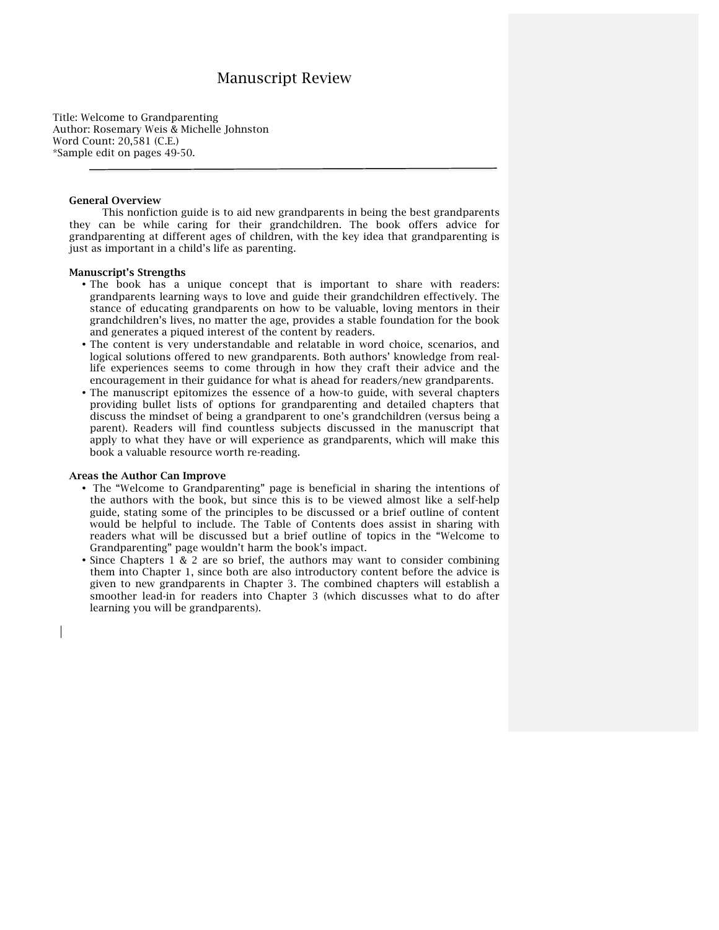# Manuscript Review

Title: Welcome to Grandparenting Author: Rosemary Weis & Michelle Johnston Word Count: 20,581 (C.E.) \*Sample edit on pages 49-50.

### General Overview

This nonfiction guide is to aid new grandparents in being the best grandparents they can be while caring for their grandchildren. The book offers advice for grandparenting at different ages of children, with the key idea that grandparenting is just as important in a child's life as parenting.

#### Manuscript's Strengths

- The book has a unique concept that is important to share with readers: grandparents learning ways to love and guide their grandchildren effectively. The stance of educating grandparents on how to be valuable, loving mentors in their grandchildren's lives, no matter the age, provides a stable foundation for the book and generates a piqued interest of the content by readers.
- The content is very understandable and relatable in word choice, scenarios, and logical solutions offered to new grandparents. Both authors' knowledge from reallife experiences seems to come through in how they craft their advice and the encouragement in their guidance for what is ahead for readers/new grandparents.
- The manuscript epitomizes the essence of a how-to guide, with several chapters providing bullet lists of options for grandparenting and detailed chapters that discuss the mindset of being a grandparent to one's grandchildren (versus being a parent). Readers will find countless subjects discussed in the manuscript that apply to what they have or will experience as grandparents, which will make this book a valuable resource worth re-reading.

## Areas the Author Can Improve

- The "Welcome to Grandparenting" page is beneficial in sharing the intentions of the authors with the book, but since this is to be viewed almost like a self-help guide, stating some of the principles to be discussed or a brief outline of content would be helpful to include. The Table of Contents does assist in sharing with readers what will be discussed but a brief outline of topics in the "Welcome to Grandparenting" page wouldn't harm the book's impact.
- Since Chapters 1 & 2 are so brief, the authors may want to consider combining them into Chapter 1, since both are also introductory content before the advice is given to new grandparents in Chapter 3. The combined chapters will establish a smoother lead-in for readers into Chapter 3 (which discusses what to do after learning you will be grandparents).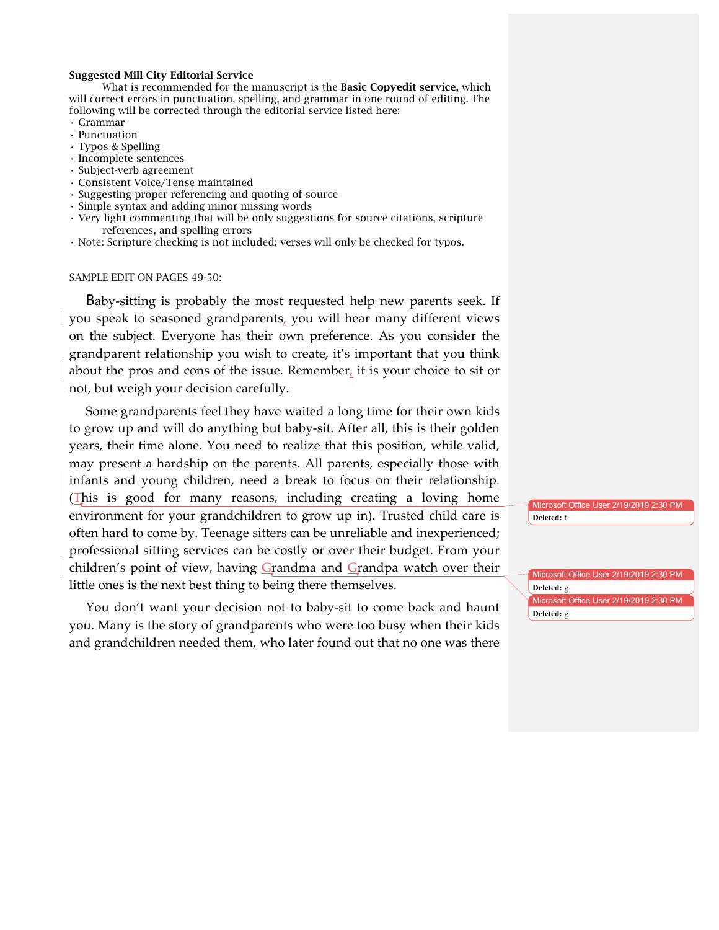# Suggested Mill City Editorial Service

What is recommended for the manuscript is the **Basic Copyedit service**, which will correct errors in punctuation, spelling, and grammar in one round of editing. The following will be corrected through the editorial service listed here:

- Grammar
- Punctuation
- Typos & Spelling
- Incomplete sentences
- Subject-verb agreement
- Consistent Voice/Tense maintained
- Suggesting proper referencing and quoting of source
- Simple syntax and adding minor missing words
- Very light commenting that will be only suggestions for source citations, scripture references, and spelling errors
- Note: Scripture checking is not included; verses will only be checked for typos.

# SAMPLE EDIT ON PAGES 49-50:

Baby-sitting is probably the most requested help new parents seek. If you speak to seasoned grandparents, you will hear many different views on the subject. Everyone has their own preference. As you consider the grandparent relationship you wish to create, it's important that you think about the pros and cons of the issue. Remember, it is your choice to sit or not, but weigh your decision carefully.

Some grandparents feel they have waited a long time for their own kids to grow up and will do anything but baby-sit. After all, this is their golden years, their time alone. You need to realize that this position, while valid, may present a hardship on the parents. All parents, especially those with infants and young children, need a break to focus on their relationship. (This is good for many reasons, including creating a loving home environment for your grandchildren to grow up in). Trusted child care is often hard to come by. Teenage sitters can be unreliable and inexperienced; professional sitting services can be costly or over their budget. From your children's point of view, having Grandma and Grandpa watch over their little ones is the next best thing to being there themselves.

You don't want your decision not to baby-sit to come back and haunt you. Many is the story of grandparents who were too busy when their kids and grandchildren needed them, who later found out that no one was there

Microsoft Office User 2/19/2019 2:30 PM **Deleted:** t

Microsoft Office User 2/19/2019 2:30 PM

Microsoft Office User 2/19/2019 2:30 PM

**Deleted:** g

**Deleted:** g